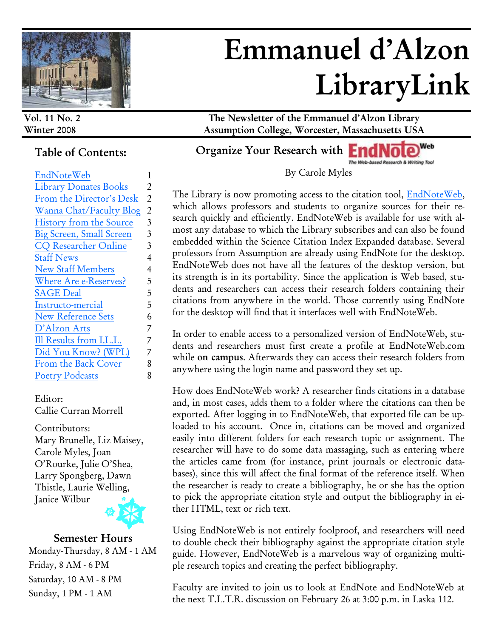

# **Emmanuel d'Alzon LibraryLink**

#### **Table of Contents:**

| EndNoteWeb                   | 1                       |
|------------------------------|-------------------------|
| <b>Library Donates Books</b> | 2                       |
| From the Director's Desk     | $\overline{2}$          |
| Wanna Chat/Faculty Blog      | $\overline{2}$          |
| History from the Source      | $\overline{3}$          |
| Big Screen, Small Screen     | $\overline{\mathbf{3}}$ |
| <b>CQ Researcher Online</b>  | 3                       |
| <b>Staff News</b>            | $\overline{4}$          |
| <b>New Staff Members</b>     | 4                       |
| Where Are e-Reserves?        | 5                       |
| <b>SAGE Deal</b>             | 5                       |
| Instructo-mercial            | 5                       |
| <b>New Reference Sets</b>    | 6                       |
| D'Alzon Arts                 | 7                       |
| Ill Results from I.L.L.      | 7                       |
| Did You Know? (WPL)          | 7                       |
| From the Back Cover          | 8                       |
| <b>Poetry Podcasts</b>       | 8                       |

Editor: Callie Curran Morrell

Contributors: Mary Brunelle, Liz Maisey, Carole Myles, Joan O'Rourke, Julie O'Shea, Larry Spongberg, Dawn Thistle, Laurie Welling, Janice Wilbur



#### **Semester Hours** Monday-Thursday, 8 AM - 1 AM Friday, 8 AM - 6 PM Saturday, 10 AM - 8 PM Sunday, 1 PM - 1 AM

**Vol. 11 No. 2 The Newsletter of the Emmanuel d'Alzon Library Winter 2008 Assumption College, Worcester, Massachusetts USA**

> Web **Organize Your Research with End NO** sed Research & Writing Tool

> > By Carole Myles

The Library is now promoting access to the citation tool, EndNoteWeb, which allows professors and students to organize sources for their research quickly and efficiently. EndNoteWeb is available for use with almost any database to which the Library subscribes and can also be found embedded within the Science Citation Index Expanded database. Several professors from Assumption are already using EndNote for the desktop. EndNoteWeb does not have all the features of the desktop version, but its strength is in its portability. Since the application is Web based, students and researchers can access their research folders containing their citations from anywhere in the world. Those currently using EndNote for the desktop will find that it interfaces well with EndNoteWeb.

In order to enable access to a personalized version of EndNoteWeb, students and researchers must first create a profile at EndNoteWeb.com while **on campus**. Afterwards they can access their research folders from anywhere using the login name and password they set up.

How does EndNoteWeb work? A researcher finds citations in a database and, in most cases, adds them to a folder where the citations can then be exported. After logging in to EndNoteWeb, that exported file can be uploaded to his account. Once in, citations can be moved and organized easily into different folders for each research topic or assignment. The researcher will have to do some data massaging, such as entering where the articles came from (for instance, print journals or electronic databases), since this will affect the final format of the reference itself. When the researcher is ready to create a bibliography, he or she has the option to pick the appropriate citation style and output the bibliography in either HTML, text or rich text.

Using EndNoteWeb is not entirely foolproof, and researchers will need to double check their bibliography against the appropriate citation style guide. However, EndNoteWeb is a marvelous way of organizing multiple research topics and creating the perfect bibliography.

Faculty are invited to join us to look at EndNote and EndNoteWeb at the next T.L.T.R. discussion on February 26 at 3:00 p.m. in Laska 112.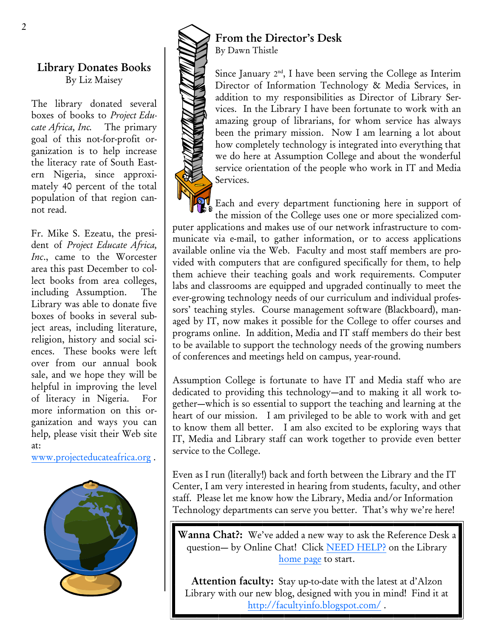#### **Library Donates Books** By Liz Maisey

The library donated several boxes of books to *Project Educate Africa, Inc.* The primary goal of this not-for-profit organization is to help increase the literacy rate of South Eastern Nigeria, since approximately 40 percent of the total population of that region cannot read.

Fr. Mike S. Ezeatu, the president of *Project Educate Africa, Inc*., came to the Worcester area this past December to collect books from area colleges, including Assumption. The Library was able to donate five boxes of books in several subject areas, including literature, religion, history and social sciences. These books were left over from our annual book sale, and we hope they will be helpful in improving the level of literacy in Nigeria. For more information on this organization and ways you can help*,* please visit their Web site at:

[www.projecteducateafrica.org](http://www.projecteducateafrica.org) .





#### **From the Director's Desk** By Dawn Thistle

Since January  $2<sup>nd</sup>$ , I have been serving the College as Interim Director of Information Technology & Media Services, in addition to my responsibilities as Director of Library Services. In the Library I have been fortunate to work with an amazing group of librarians, for whom service has always been the primary mission. Now I am learning a lot about how completely technology is integrated into everything that we do here at Assumption College and about the wonderful service orientation of the people who work in IT and Media Services.

Each and every department functioning here in support of the mission of the College uses one or more specialized computer applications and makes use of our network infrastructure to communicate via e-mail, to gather information, or to access applications available online via the Web. Faculty and most staff members are provided with computers that are configured specifically for them, to help them achieve their teaching goals and work requirements. Computer labs and classrooms are equipped and upgraded continually to meet the ever-growing technology needs of our curriculum and individual professors' teaching styles. Course management software (Blackboard), managed by IT, now makes it possible for the College to offer courses and programs online. In addition, Media and IT staff members do their best to be available to support the technology needs of the growing numbers of conferences and meetings held on campus, year-round.

Assumption College is fortunate to have IT and Media staff who are dedicated to providing this technology—and to making it all work together—which is so essential to support the teaching and learning at the heart of our mission. I am privileged to be able to work with and get to know them all better. I am also excited to be exploring ways that IT, Media and Library staff can work together to provide even better service to the College.

Even as I run (literally!) back and forth between the Library and the IT Center, I am very interested in hearing from students, faculty, and other staff. Please let me know how the Library, Media and/or Information Technology departments can serve you better. That's why we're here!

**Wanna Chat?:** We've added a new way to ask the Reference Desk a question— by Online Chat! Click [NEED HELP?](http://www.assumption.edu/dept/library/resources/refchat.htm) on the Library [home page](http://www.assumption.edu/dept/library/libraryindex.html) to start.

Attention faculty: Stay up-to-date with the latest at d'Alzon Library with our new blog, designed with you in mind! Find it at <http://facultyinfo.blogspot.com/> .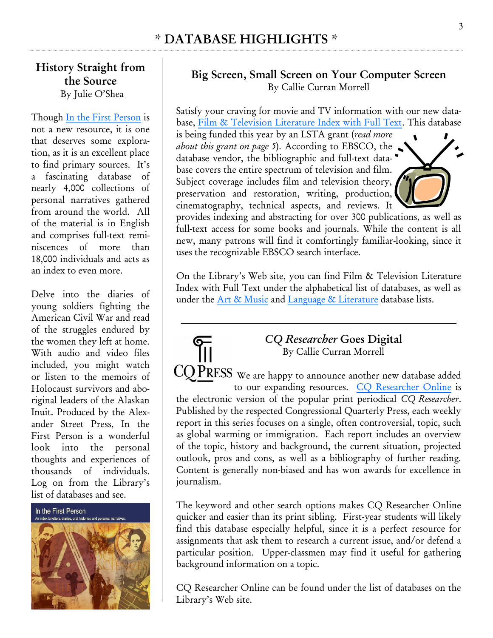#### **History Straight from the Source** By Julie O'Shea

Though [In the First Person](http://www.inthefirstperson.com/firp/index.shtml) is not a new resource, it is one that deserves some exploration, as it is an excellent place to find primary sources. It's a fascinating database of nearly 4,000 collections of personal narratives gathered from around the world. All of the material is in English and comprises full-text reminiscences of more than 18,000 individuals and acts as an index to even more.

Delve into the diaries of young soldiers fighting the American Civil War and read of the struggles endured by the women they left at home. With audio and video files included, you might watch or listen to the memoirs of Holocaust survivors and aboriginal leaders of the Alaskan Inuit. Produced by the Alexander Street Press, In the First Person is a wonderful look into the personal thoughts and experiences of thousands of individuals. Log on from the Library's list of databases and see.



#### **Big Screen, Small Screen on Your Computer Screen** By Callie Curran Morrell

Satisfy your craving for movie and TV information with our new database, [Film & Television Literature Index with Full Text.](http://lib.assumption.edu/login?url=http://search.ebscohost.com/login.aspx?authtype=ip,uid&profile=ehost&defaultdb=f3h) This database

is being funded this year by an LSTA grant (*read more about this grant on page 5*). According to EBSCO, the database vendor, the bibliographic and full-text database covers the entire spectrum of television and film. Subject coverage includes film and television theory, preservation and restoration, writing, production, cinematography, technical aspects, and reviews. It



On the Library's Web site, you can find Film & Television Literature Index with Full Text under the alphabetical list of databases, as well as under the [Art & Music](http://www.assumption.edu/dept/library/resources/artmusic.html) and [Language & Literature](http://www.assumption.edu/dept/library/resources/languagelit.html) database lists.



The keyword and other search options makes CQ Researcher Online quicker and easier than its print sibling. First-year students will likely find this database especially helpful, since it is a perfect resource for assignments that ask them to research a current issue, and/or defend a particular position. Upper-classmen may find it useful for gathering background information on a topic.

CQ Researcher Online can be found under the list of databases on the Library's Web site.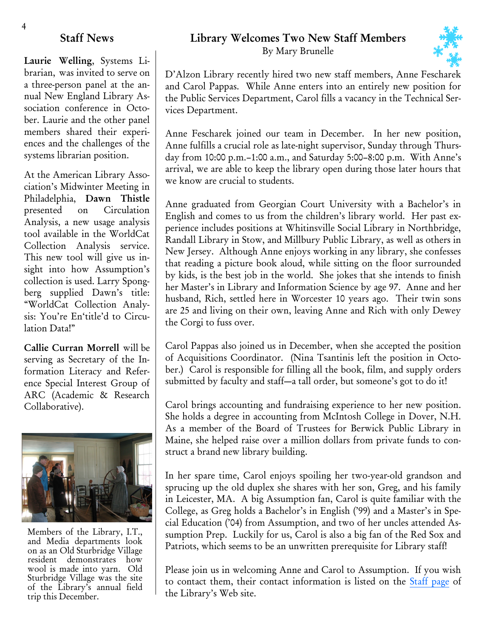#### **Staff News**

**Laurie Welling**, Systems Librarian, was invited to serve on a three-person panel at the annual New England Library Association conference in October. Laurie and the other panel members shared their experiences and the challenges of the systems librarian position.

At the American Library Association's Midwinter Meeting in Philadelphia, **Dawn Thistle**  presented on Circulation Analysis, a new usage analysis tool available in the WorldCat Collection Analysis service. This new tool will give us insight into how Assumption's collection is used. Larry Spongberg supplied Dawn's title: "WorldCat Collection Analysis: You're En'title'd to Circulation Data!"

**Callie Curran Morrell** will be serving as Secretary of the Information Literacy and Reference Special Interest Group of ARC (Academic & Research Collaborative).



Members of the Library, I.T., and Media departments look on as an Old Sturbridge Village resident demonstrates how wool is made into yarn. Old Sturbridge Village was the site of the Library's annual field trip this December.

#### **Library Welcomes Two New Staff Members**

By Mary Brunelle



D'Alzon Library recently hired two new staff members, Anne Fescharek and Carol Pappas. While Anne enters into an entirely new position for the Public Services Department, Carol fills a vacancy in the Technical Services Department.

Anne Fescharek joined our team in December. In her new position, Anne fulfills a crucial role as late-night supervisor, Sunday through Thursday from 10:00 p.m.-1:00 a.m., and Saturday 5:00-8:00 p.m. With Anne's arrival, we are able to keep the library open during those later hours that we know are crucial to students.

Anne graduated from Georgian Court University with a Bachelor's in English and comes to us from the children's library world. Her past experience includes positions at Whitinsville Social Library in Northbridge, Randall Library in Stow, and Millbury Public Library, as well as others in New Jersey. Although Anne enjoys working in any library, she confesses that reading a picture book aloud, while sitting on the floor surrounded by kids, is the best job in the world. She jokes that she intends to finish her Master's in Library and Information Science by age 97. Anne and her husband, Rich, settled here in Worcester 10 years ago. Their twin sons are 25 and living on their own, leaving Anne and Rich with only Dewey the Corgi to fuss over.

Carol Pappas also joined us in December, when she accepted the position of Acquisitions Coordinator. (Nina Tsantinis left the position in October.) Carol is responsible for filling all the book, film, and supply orders submitted by faculty and staff—a tall order, but someone's got to do it!

Carol brings accounting and fundraising experience to her new position. She holds a degree in accounting from McIntosh College in Dover, N.H. As a member of the Board of Trustees for Berwick Public Library in Maine, she helped raise over a million dollars from private funds to construct a brand new library building.

In her spare time, Carol enjoys spoiling her two-year-old grandson and sprucing up the old duplex she shares with her son, Greg, and his family in Leicester, MA. A big Assumption fan, Carol is quite familiar with the College, as Greg holds a Bachelor's in English ('99) and a Master's in Special Education ('04) from Assumption, and two of her uncles attended Assumption Prep. Luckily for us, Carol is also a big fan of the Red Sox and Patriots, which seems to be an unwritten prerequisite for Library staff!

Please join us in welcoming Anne and Carol to Assumption. If you wish to contact them, their contact information is listed on the [Staff page](http://www.assumption.edu/dept/library/resources/staff.html) of the Library's Web site.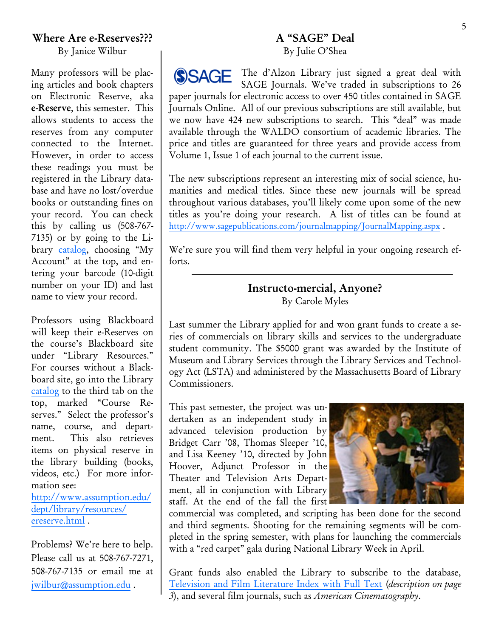#### **A "SAGE" Deal** By Julie O'Shea

The d'Alzon Library just signed a great deal with **SSAGE** SAGE Journals. We've traded in subscriptions to 26 paper journals for electronic access to over 450 titles contained in SAGE Journals Online. All of our previous subscriptions are still available, but we now have 424 new subscriptions to search. This "deal" was made available through the WALDO consortium of academic libraries. The price and titles are guaranteed for three years and provide access from Volume 1, Issue 1 of each journal to the current issue.

The new subscriptions represent an interesting mix of social science, humanities and medical titles. Since these new journals will be spread throughout various databases, you'll likely come upon some of the new titles as you're doing your research. A list of titles can be found at <http://www.sagepublications.com/journalmapping/JournalMapping.aspx> .

We're sure you will find them very helpful in your ongoing research efforts.

#### **Instructo-mercial, Anyone?**  By Carole Myles

Last summer the Library applied for and won grant funds to create a series of commercials on library skills and services to the undergraduate student community. The \$5000 grant was awarded by the Institute of Museum and Library Services through the Library Services and Technology Act (LSTA) and administered by the Massachusetts Board of Library Commissioners.

This past semester, the project was undertaken as an independent study in advanced television production by Bridget Carr '08, Thomas Sleeper '10, and Lisa Keeney '10, directed by John Hoover, Adjunct Professor in the Theater and Television Arts Department, all in conjunction with Library staff. At the end of the fall the first



commercial was completed, and scripting has been done for the second and third segments. Shooting for the remaining segments will be completed in the spring semester, with plans for launching the commercials with a "red carpet" gala during National Library Week in April.

Grant funds also enabled the Library to subscribe to the database, [Television and Film Literature Index with Full Text](http://lib.assumption.edu/login?url=http://search.ebscohost.com/login.aspx?authtype=ip,uid&profile=ehost&defaultdb=f3h) (*description on page 3*), and several film journals, such as *American Cinematography*.

#### **Where Are e-Reserves???**

By Janice Wilbur

Many professors will be placing articles and book chapters on Electronic Reserve, aka **e-Reserve**, this semester. This allows students to access the reserves from any computer connected to the Internet. However, in order to access these readings you must be registered in the Library database and have no lost/overdue books or outstanding fines on your record. You can check this by calling us (508-767- 7135) or by going to the Library [catalog](http://houndcat.assumption.edu/cgi-bin/Pwebrecon.cgi?DB=local&PAGE=First), choosing "My Account" at the top, and entering your barcode (10-digit number on your ID) and last name to view your record.

Professors using Blackboard will keep their e-Reserves on the course's Blackboard site under "Library Resources." For courses without a Blackboard site, go into the Library [catalog](http://houndcat.assumption.edu/cgi-bin/Pwebrecon.cgi?DB=local&PAGE=First) to the third tab on the top, marked "Course Reserves." Select the professor's name, course, and department. This also retrieves items on physical reserve in the library building (books, videos, etc.) For more information see:

[http://www.assumption.edu/](http://www.assumption.edu/dept/library/resources/ereserve.html) [dept/library/resources/](http://www.assumption.edu/dept/library/resources/ereserve.html) [ereserve.html](http://www.assumption.edu/dept/library/resources/ereserve.html) .

Problems? We're here to help. Please call us at 508-767-7271, 508-767-7135 or email me at [jwilbur@assumption.edu](mailto:jwilbur@assumption.edu) .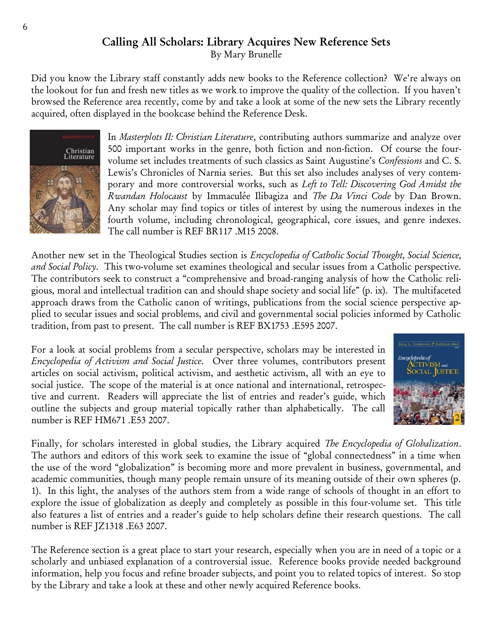## **Calling All Scholars: Library Acquires New Reference Sets**

By Mary Brunelle

Did you know the Library staff constantly adds new books to the Reference collection? We're always on the lookout for fun and fresh new titles as we work to improve the quality of the collection. If you haven't browsed the Reference area recently, come by and take a look at some of the new sets the Library recently acquired, often displayed in the bookcase behind the Reference Desk.



In *Masterplots II: Christian Literature*, contributing authors summarize and analyze over 500 important works in the genre, both fiction and non-fiction. Of course the fourvolume set includes treatments of such classics as Saint Augustine's *Confessions* and C. S. Lewis's Chronicles of Narnia series. But this set also includes analyses of very contemporary and more controversial works, such as *Left to Tell: Discovering God Amidst the Rwandan Holocaust* by Immaculée Ilibagiza and *The Da Vinci Code* by Dan Brown. Any scholar may find topics or titles of interest by using the numerous indexes in the fourth volume, including chronological, geographical, core issues, and genre indexes. The call number is REF BR117 .M15 2008.

Another new set in the Theological Studies section is *Encyclopedia of Catholic Social Thought, Social Science, and Social Policy*. This two-volume set examines theological and secular issues from a Catholic perspective. The contributors seek to construct a "comprehensive and broad-ranging analysis of how the Catholic religious, moral and intellectual tradition can and should shape society and social life" (p. ix). The multifaceted approach draws from the Catholic canon of writings, publications from the social science perspective applied to secular issues and social problems, and civil and governmental social policies informed by Catholic tradition, from past to present. The call number is REF BX1753 .E595 2007.

For a look at social problems from a secular perspective, scholars may be interested in *Encyclopedia of Activism and Social Justice*. Over three volumes, contributors present articles on social activism, political activism, and aesthetic activism, all with an eye to social justice. The scope of the material is at once national and international, retrospective and current. Readers will appreciate the list of entries and reader's guide, which outline the subjects and group material topically rather than alphabetically. The call number is REF HM671 .E53 2007.



Finally, for scholars interested in global studies, the Library acquired *The Encyclopedia of Globalization*. The authors and editors of this work seek to examine the issue of "global connectedness" in a time when the use of the word "globalization" is becoming more and more prevalent in business, governmental, and academic communities, though many people remain unsure of its meaning outside of their own spheres (p. 1). In this light, the analyses of the authors stem from a wide range of schools of thought in an effort to explore the issue of globalization as deeply and completely as possible in this four-volume set. This title also features a list of entries and a reader's guide to help scholars define their research questions. The call number is REF JZ1318 .E63 2007.

The Reference section is a great place to start your research, especially when you are in need of a topic or a scholarly and unbiased explanation of a controversial issue. Reference books provide needed background information, help you focus and refine broader subjects, and point you to related topics of interest. So stop by the Library and take a look at these and other newly acquired Reference books.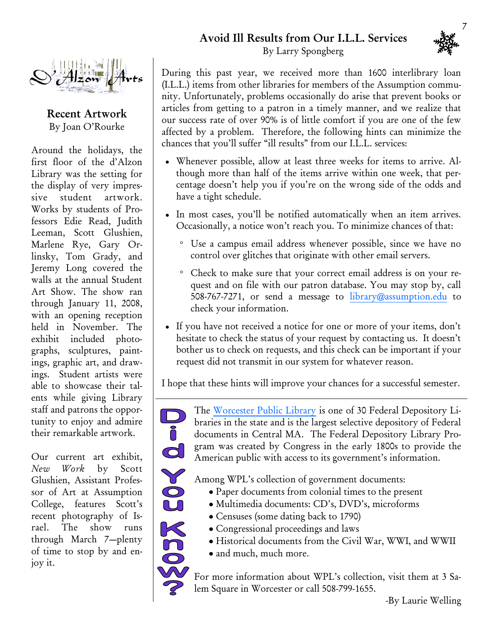### **Avoid Ill Results from Our I.L.L. Services**





**Recent Artwork** By Joan O'Rourke

Around the holidays, the first floor of the d'Alzon Library was the setting for the display of very impressive student artwork. Works by students of Professors Edie Read, Judith Leeman, Scott Glushien, Marlene Rye, Gary Orlinsky, Tom Grady, and Jeremy Long covered the walls at the annual Student Art Show. The show ran through January 11, 2008, with an opening reception held in November. The exhibit included photographs, sculptures, paintings, graphic art, and drawings. Student artists were able to showcase their talents while giving Library staff and patrons the opportunity to enjoy and admire their remarkable artwork.

Our current art exhibit, *New Work* by Scott Glushien, Assistant Professor of Art at Assumption College, features Scott's recent photography of Israel. The show runs through March 7—plenty of time to stop by and enjoy it.

 $\frac{D}{\mathbf{0}}$ 

d

203X EO

By Larry Spongberg

During this past year, we received more than 1600 interlibrary loan (I.L.L.) items from other libraries for members of the Assumption community. Unfortunately, problems occasionally do arise that prevent books or articles from getting to a patron in a timely manner, and we realize that our success rate of over 90% is of little comfort if you are one of the few affected by a problem. Therefore, the following hints can minimize the chances that you'll suffer "ill results" from our I.L.L. services:

- Whenever possible, allow at least three weeks for items to arrive. Although more than half of the items arrive within one week, that percentage doesn't help you if you're on the wrong side of the odds and have a tight schedule.
- In most cases, you'll be notified automatically when an item arrives. Occasionally, a notice won't reach you. To minimize chances of that:
	- Use a campus email address whenever possible, since we have no control over glitches that originate with other email servers.
	- Check to make sure that your correct email address is on your request and on file with our patron database. You may stop by, call 508-767-7271, or send a message to [library@assumption.edu](mailto:library@assumption.edu) to check your information.
- If you have not received a notice for one or more of your items, don't hesitate to check the status of your request by contacting us. It doesn't bother us to check on requests, and this check can be important if your request did not transmit in our system for whatever reason.

I hope that these hints will improve your chances for a successful semester.

The [Worcester Public Library](http://www.worcpublib.org) is one of 30 Federal Depository Libraries in the state and is the largest selective depository of Federal documents in Central MA. The Federal Depository Library Program was created by Congress in the early 1800s to provide the American public with access to its government's information.

Among WPL's collection of government documents:

- Paper documents from colonial times to the present
- · Multimedia documents: CD's, DVD's, microforms
- Censuses (some dating back to 1790)
- Congressional proceedings and laws
- Historical documents from the Civil War, WWI, and WWII
- and much, much more.

For more information about WPL's collection, visit them at 3 Salem Square in Worcester or call 508-799-1655.